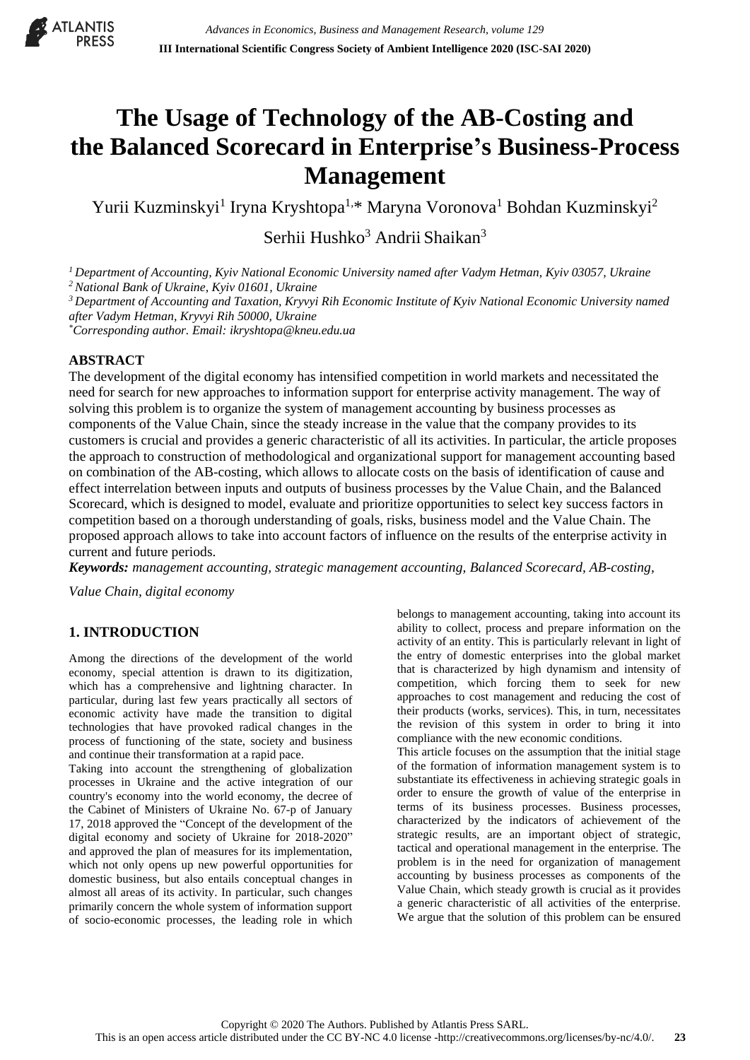

# **The Usage of Technology of the AB-Costing and the Balanced Scorecard in Enterprise's Business-Process Management**

Yurii Kuzminskyi<sup>1</sup> Iryna Kryshtopa<sup>1,\*</sup> Maryna Voronova<sup>1</sup> Bohdan Kuzminskyi<sup>2</sup>

Serhii Hushko<sup>3</sup> Andrii Shaikan<sup>3</sup>

*<sup>1</sup> Department of Accounting, Kyiv National Economic University named after Vadym Hetman, Kyiv 03057, Ukraine <sup>2</sup>National Bank of Ukraine, Kyiv 01601, Ukraine*

*<sup>3</sup> Department of Accounting and Taxation, Kryvyi Rih Economic Institute of Kyiv National Economic University named after Vadym Hetman, Kryvyi Rih 50000, Ukraine*

*\*Corresponding author. Email: ikryshtopa@kneu.edu.ua*

### **ABSTRACT**

The development of the digital economy has intensified competition in world markets and necessitated the need for search for new approaches to information support for enterprise activity management. The way of solving this problem is to organize the system of management accounting by business processes as components of the Value Chain, since the steady increase in the value that the company provides to its customers is crucial and provides a generic characteristic of all its activities. In particular, the article proposes the approach to construction of methodological and organizational support for management accounting based on combination of the AB-costing, which allows to allocate costs on the basis of identification of cause and effect interrelation between inputs and outputs of business processes by the Value Chain, and the Balanced Scorecard, which is designed to model, evaluate and prioritize opportunities to select key success factors in competition based on a thorough understanding of goals, risks, business model and the Value Chain. The proposed approach allows to take into account factors of influence on the results of the enterprise activity in current and future periods.

*Keywords: management accounting, strategic management accounting, Balanced Scorecard, AB-costing,* 

*Value Chain, digital economy*

# **1. INTRODUCTION**

Among the directions of the development of the world economy, special attention is drawn to its digitization, which has a comprehensive and lightning character. In particular, during last few years practically all sectors of economic activity have made the transition to digital technologies that have provoked radical changes in the process of functioning of the state, society and business and continue their transformation at a rapid pace.

Taking into account the strengthening of globalization processes in Ukraine and the active integration of our country's economy into the world economy, the decree of the Cabinet of Ministers of Ukraine No. 67-p of January 17, 2018 approved the "Concept of the development of the digital economy and society of Ukraine for 2018-2020" and approved the plan of measures for its implementation, which not only opens up new powerful opportunities for domestic business, but also entails conceptual changes in almost all areas of its activity. In particular, such changes primarily concern the whole system of information support of socio-economic processes, the leading role in which

belongs to management accounting, taking into account its ability to collect, process and prepare information on the activity of an entity. This is particularly relevant in light of the entry of domestic enterprises into the global market that is characterized by high dynamism and intensity of competition, which forcing them to seek for new approaches to cost management and reducing the cost of their products (works, services). This, in turn, necessitates the revision of this system in order to bring it into compliance with the new economic conditions.

This article focuses on the assumption that the initial stage of the formation of information management system is to substantiate its effectiveness in achieving strategic goals in order to ensure the growth of value of the enterprise in terms of its business processes. Business processes, characterized by the indicators of achievement of the strategic results, are an important object of strategic, tactical and operational management in the enterprise. The problem is in the need for organization of management accounting by business processes as components of the Value Chain, which steady growth is crucial as it provides a generic characteristic of all activities of the enterprise. We argue that the solution of this problem can be ensured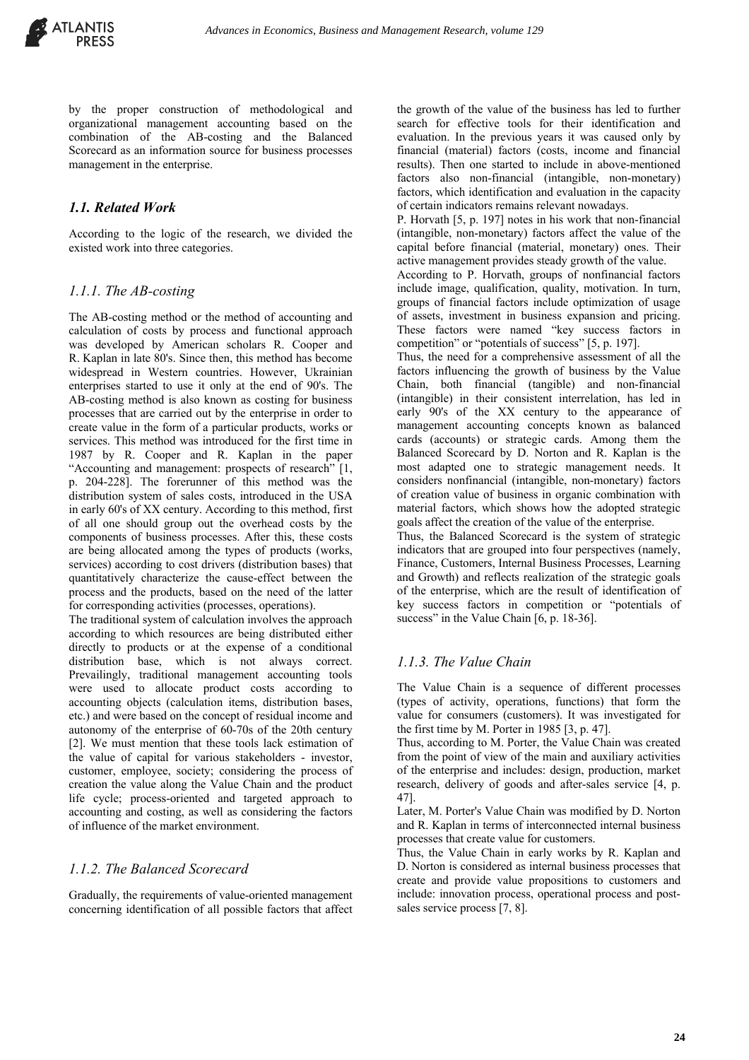

by the proper construction of methodological and organizational management accounting based on the combination of the AB-costing and the Balanced Scorecard as an information source for business processes management in the enterprise.

## *1.1. Related Work*

According to the logic of the research, we divided the existed work into three categories.

#### *1.1.1. The AB-costing*

The AB-costing method or the method of accounting and calculation of costs by process and functional approach was developed by American scholars R. Cooper and R. Kaplan in late 80's. Since then, this method has become widespread in Western countries. However, Ukrainian enterprises started to use it only at the end of 90's. The AB-costing method is also known as costing for business processes that are carried out by the enterprise in order to create value in the form of a particular products, works or services. This method was introduced for the first time in 1987 by R. Cooper and R. Kaplan in the paper "Accounting and management: prospects of research" [1, p. 204-228]. The forerunner of this method was the distribution system of sales costs, introduced in the USA in early 60's of XX century. According to this method, first of all one should group out the overhead costs by the components of business processes. After this, these costs are being allocated among the types of products (works, services) according to cost drivers (distribution bases) that quantitatively characterize the cause-effect between the process and the products, based on the need of the latter for corresponding activities (processes, operations).

The traditional system of calculation involves the approach according to which resources are being distributed either directly to products or at the expense of a conditional distribution base, which is not always correct. Prevailingly, traditional management accounting tools were used to allocate product costs according to accounting objects (calculation items, distribution bases, etc.) and were based on the concept of residual income and autonomy of the enterprise of 60-70s of the 20th century [2]. We must mention that these tools lack estimation of the value of capital for various stakeholders - investor, customer, employee, society; considering the process of creation the value along the Value Chain and the product life cycle; process-oriented and targeted approach to accounting and costing, as well as considering the factors of influence of the market environment.

#### *1.1.2. The Balanced Scorecard*

Gradually, the requirements of value-oriented management concerning identification of all possible factors that affect the growth of the value of the business has led to further search for effective tools for their identification and evaluation. In the previous years it was caused only by financial (material) factors (costs, income and financial results). Then one started to include in above-mentioned factors also non-financial (intangible, non-monetary) factors, which identification and evaluation in the capacity of certain indicators remains relevant nowadays.

P. Horvath [5, p. 197] notes in his work that non-financial (intangible, non-monetary) factors affect the value of the capital before financial (material, monetary) ones. Their active management provides steady growth of the value.

According to P. Horvath, groups of nonfinancial factors include image, qualification, quality, motivation. In turn, groups of financial factors include optimization of usage of assets, investment in business expansion and pricing. These factors were named "key success factors in competition" or "potentials of success" [5, p. 197].

Thus, the need for a comprehensive assessment of all the factors influencing the growth of business by the Value Chain, both financial (tangible) and non-financial (intangible) in their consistent interrelation, has led in early 90's of the XX century to the appearance of management accounting concepts known as balanced cards (accounts) or strategic cards. Among them the Balanced Scorecard by D. Norton and R. Kaplan is the most adapted one to strategic management needs. It considers nonfinancial (intangible, non-monetary) factors of creation value of business in organic combination with material factors, which shows how the adopted strategic goals affect the creation of the value of the enterprise.

Thus, the Balanced Scorecard is the system of strategic indicators that are grouped into four perspectives (namely, Finance, Customers, Internal Business Processes, Learning and Growth) and reflects realization of the strategic goals of the enterprise, which are the result of identification of key success factors in competition or "potentials of success" in the Value Chain [6, p. 18-36].

### *1.1.3. The Value Chain*

The Value Chain is a sequence of different processes (types of activity, operations, functions) that form the value for consumers (customers). It was investigated for the first time by M. Porter in 1985 [3, p. 47].

Thus, according to M. Porter, the Value Chain was created from the point of view of the main and auxiliary activities of the enterprise and includes: design, production, market research, delivery of goods and after-sales service [4, p. 47].

Later, M. Porter's Value Chain was modified by D. Norton and R. Kaplan in terms of interconnected internal business processes that create value for customers.

Thus, the Value Chain in early works by R. Kaplan and D. Norton is considered as internal business processes that create and provide value propositions to customers and include: innovation process, operational process and postsales service process [7, 8].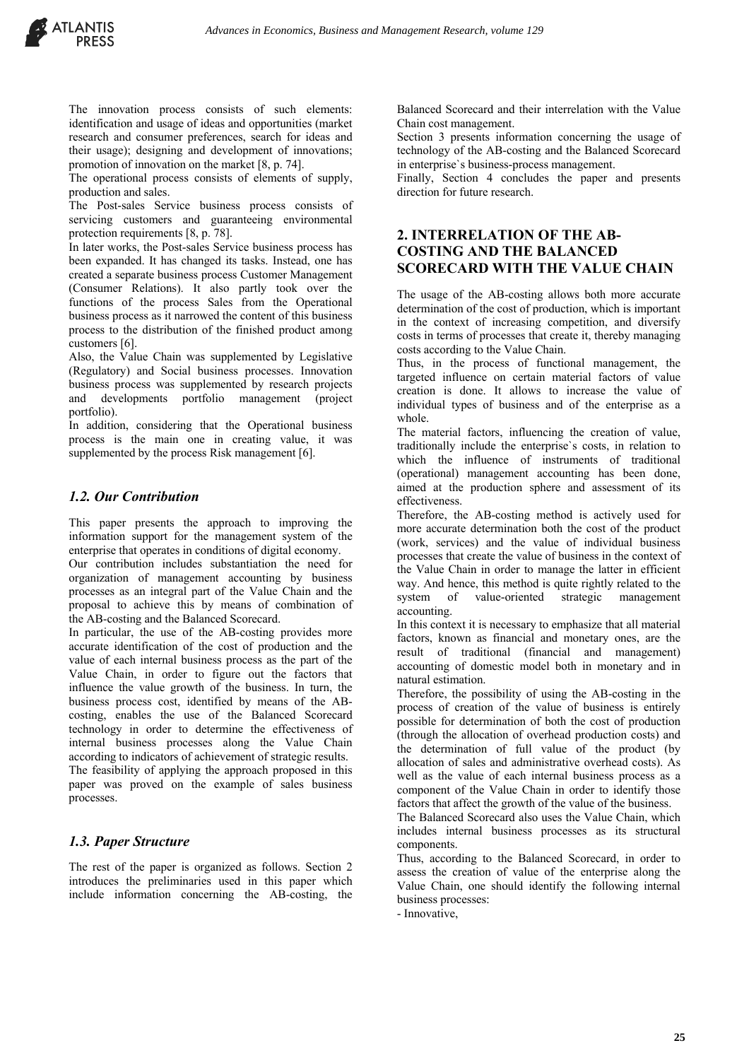The operational process consists of elements of supply, production and sales.

The Post-sales Service business process consists of servicing customers and guaranteeing environmental protection requirements [8, p. 78].

In later works, the Post-sales Service business process has been expanded. It has changed its tasks. Instead, one has created a separate business process Customer Management (Consumer Relations). It also partly took over the functions of the process Sales from the Operational business process as it narrowed the content of this business process to the distribution of the finished product among customers [6].

Also, the Value Chain was supplemented by Legislative (Regulatory) and Social business processes. Innovation business process was supplemented by research projects and developments portfolio management (project portfolio).

In addition, considering that the Operational business process is the main one in creating value, it was supplemented by the process Risk management [6].

#### *1.2. Our Contribution*

This paper presents the approach to improving the information support for the management system of the enterprise that operates in conditions of digital economy.

Our contribution includes substantiation the need for organization of management accounting by business processes as an integral part of the Value Chain and the proposal to achieve this by means of combination of the AB-costing and the Balanced Scorecard.

In particular, the use of the AB-costing provides more accurate identification of the cost of production and the value of each internal business process as the part of the Value Chain, in order to figure out the factors that influence the value growth of the business. In turn, the business process cost, identified by means of the ABcosting, enables the use of the Balanced Scorecard technology in order to determine the effectiveness of internal business processes along the Value Chain according to indicators of achievement of strategic results. The feasibility of applying the approach proposed in this paper was proved on the example of sales business processes.

### *1.3. Paper Structure*

The rest of the paper is organized as follows. Section 2 introduces the preliminaries used in this paper which include information concerning the АВ-costing, the Balanced Scorecard and their interrelation with the Value Chain cost management.

Section 3 presents information concerning the usage of technology of the AB-costing and the Balanced Scorecard in enterprise`s business-process management.

Finally, Section 4 concludes the paper and presents direction for future research.

## **2. INTERRELATION OF THE AB-COSTING AND THE BALANCED SCORECARD WITH THE VALUE CHAIN**

The usage of the AB-costing allows both more accurate determination of the cost of production, which is important in the context of increasing competition, and diversify costs in terms of processes that create it, thereby managing costs according to the Value Chain.

Thus, in the process of functional management, the targeted influence on certain material factors of value creation is done. It allows to increase the value of individual types of business and of the enterprise as a whole.

The material factors, influencing the creation of value, traditionally include the enterprise`s costs, in relation to which the influence of instruments of traditional (operational) management accounting has been done, aimed at the production sphere and assessment of its effectiveness.

Therefore, the AB-costing method is actively used for more accurate determination both the cost of the product (work, services) and the value of individual business processes that create the value of business in the context of the Value Chain in order to manage the latter in efficient way. And hence, this method is quite rightly related to the system of value-oriented strategic management accounting.

In this context it is necessary to emphasize that all material factors, known as financial and monetary ones, are the result of traditional (financial and management) accounting of domestic model both in monetary and in natural estimation.

Therefore, the possibility of using the AB-costing in the process of creation of the value of business is entirely possible for determination of both the cost of production (through the allocation of overhead production costs) and the determination of full value of the product (by allocation of sales and administrative overhead costs). As well as the value of each internal business process as a component of the Value Chain in order to identify those factors that affect the growth of the value of the business.

The Balanced Scorecard also uses the Value Chain, which includes internal business processes as its structural components.

Thus, according to the Balanced Scorecard, in order to assess the creation of value of the enterprise along the Value Chain, one should identify the following internal business processes:

- Innovative,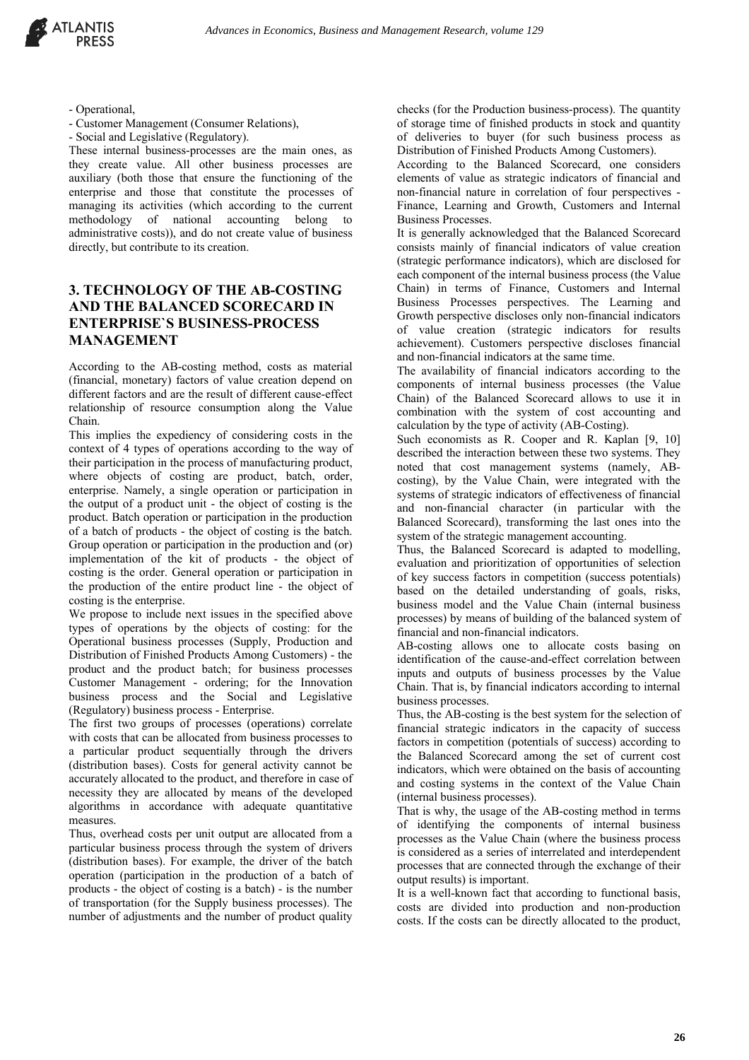

- Operational,
- Customer Management (Consumer Relations),
- Social and Legislative (Regulatory).

These internal business-processes are the main ones, as they create value. All other business processes are auxiliary (both those that ensure the functioning of the enterprise and those that constitute the processes of managing its activities (which according to the current methodology of national accounting belong to administrative costs)), and do not create value of business directly, but contribute to its creation.

# **3. TECHNOLOGY OF THE AB-COSTING AND THE BALANCED SCORECARD IN ENTERPRISE`S BUSINESS-PROCESS MANAGEMENT**

According to the AB-costing method, costs as material (financial, monetary) factors of value creation depend on different factors and are the result of different cause-effect relationship of resource consumption along the Value Chain.

This implies the expediency of considering costs in the context of 4 types of operations according to the way of their participation in the process of manufacturing product, where objects of costing are product, batch, order, enterprise. Namely, a single operation or participation in the output of a product unit - the object of costing is the product. Batch operation or participation in the production of a batch of products - the object of costing is the batch. Group operation or participation in the production and (or) implementation of the kit of products - the object of costing is the order. General operation or participation in the production of the entire product line - the object of costing is the enterprise.

We propose to include next issues in the specified above types of operations by the objects of costing: for the Operational business processes (Supply, Production and Distribution of Finished Products Among Customers) - the product and the product batch; for business processes Customer Management - ordering; for the Innovation business process and the Social and Legislative (Regulatory) business process - Enterprise.

The first two groups of processes (operations) correlate with costs that can be allocated from business processes to a particular product sequentially through the drivers (distribution bases). Costs for general activity cannot be accurately allocated to the product, and therefore in case of necessity they are allocated by means of the developed algorithms in accordance with adequate quantitative measures.

Thus, overhead costs per unit output are allocated from a particular business process through the system of drivers (distribution bases). For example, the driver of the batch operation (participation in the production of a batch of products - the object of costing is a batch) - is the number of transportation (for the Supply business processes). The number of adjustments and the number of product quality

checks (for the Production business-process). The quantity of storage time of finished products in stock and quantity of deliveries to buyer (for such business process as Distribution of Finished Products Among Customers).

According to the Balanced Scorecard, one considers elements of value as strategic indicators of financial and non-financial nature in correlation of four perspectives - Finance, Learning and Growth, Customers and Internal Business Processes.

It is generally acknowledged that the Balanced Scorecard consists mainly of financial indicators of value creation (strategic performance indicators), which are disclosed for each component of the internal business process (the Value Chain) in terms of Finance, Customers and Internal Business Processes perspectives. The Learning and Growth perspective discloses only non-financial indicators of value creation (strategic indicators for results achievement). Customers perspective discloses financial and non-financial indicators at the same time.

The availability of financial indicators according to the components of internal business processes (the Value Chain) of the Balanced Scorecard allows to use it in combination with the system of cost accounting and calculation by the type of activity (AB-Costing).

Such economists as R. Cooper and R. Kaplan [9, 10] described the interaction between these two systems. They noted that cost management systems (namely, ABcosting), by the Value Chain, were integrated with the systems of strategic indicators of effectiveness of financial and non-financial character (in particular with the Balanced Scorecard), transforming the last ones into the system of the strategic management accounting.

Thus, the Balanced Scorecard is adapted to modelling, evaluation and prioritization of opportunities of selection of key success factors in competition (success potentials) based on the detailed understanding of goals, risks, business model and the Value Chain (internal business processes) by means of building of the balanced system of financial and non-financial indicators.

АВ-costing allows one to allocate costs basing on identification of the cause-and-effect correlation between inputs and outputs of business processes by the Value Chain. That is, by financial indicators according to internal business processes.

Thus, the AB-costing is the best system for the selection of financial strategic indicators in the capacity of success factors in competition (potentials of success) according to the Balanced Scorecard among the set of current cost indicators, which were obtained on the basis of accounting and costing systems in the context of the Value Chain (internal business processes).

That is why, the usage of the AB-costing method in terms of identifying the components of internal business processes as the Value Chain (where the business process is considered as a series of interrelated and interdependent processes that are connected through the exchange of their output results) is important.

It is a well-known fact that according to functional basis, costs are divided into production and non-production costs. If the costs can be directly allocated to the product,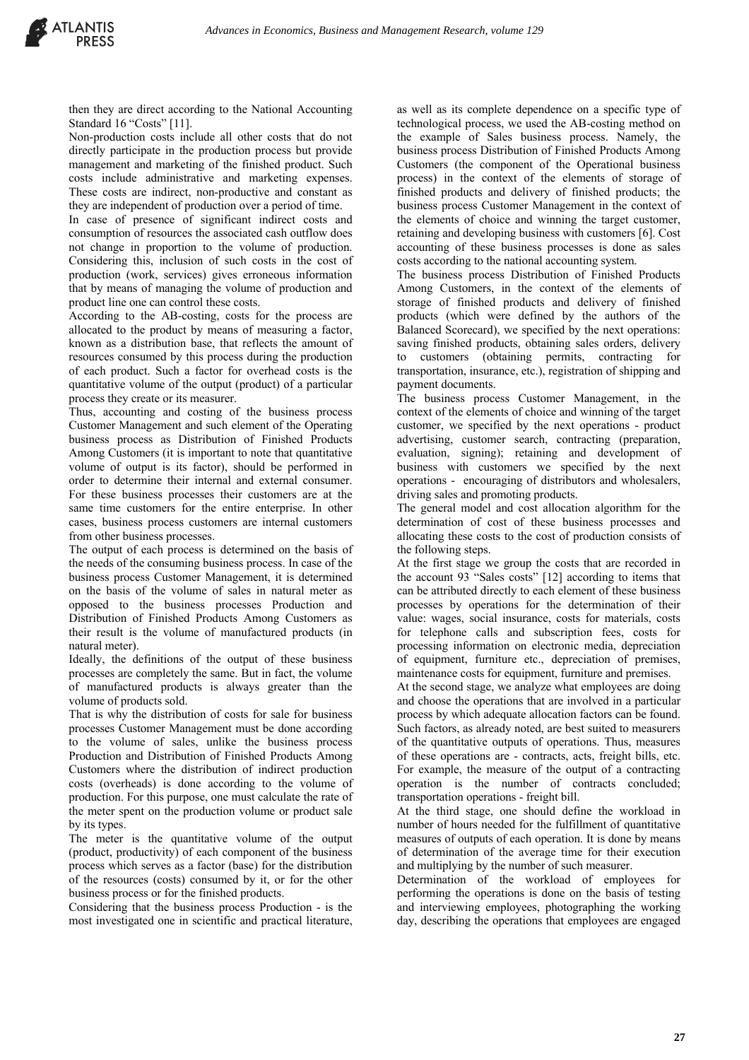then they are direct according to the National Accounting Standard 16 "Costs" [11].

Non-production costs include all other costs that do not directly participate in the production process but provide management and marketing of the finished product. Such costs include administrative and marketing expenses. These costs are indirect, non-productive and constant as they are independent of production over a period of time.

In case of presence of significant indirect costs and consumption of resources the associated cash outflow does not change in proportion to the volume of production. Considering this, inclusion of such costs in the cost of production (work, services) gives erroneous information that by means of managing the volume of production and product line one can control these costs.

According to the AB-costing, costs for the process are allocated to the product by means of measuring a factor, known as a distribution base, that reflects the amount of resources consumed by this process during the production of each product. Such a factor for overhead costs is the quantitative volume of the output (product) of a particular process they create or its measurer.

Thus, accounting and costing of the business process Customer Management and such element of the Operating business process as Distribution of Finished Products Among Customers (it is important to note that quantitative volume of output is its factor), should be performed in order to determine their internal and external consumer. For these business processes their customers are at the same time customers for the entire enterprise. In other cases, business process customers are internal customers from other business processes.

The output of each process is determined on the basis of the needs of the consuming business process. In case of the business process Customer Management, it is determined on the basis of the volume of sales in natural meter as opposed to the business processes Production and Distribution of Finished Products Among Customers as their result is the volume of manufactured products (in natural meter).

Ideally, the definitions of the output of these business processes are completely the same. But in fact, the volume of manufactured products is always greater than the volume of products sold.

That is why the distribution of costs for sale for business processes Customer Management must be done according to the volume of sales, unlike the business process Production and Distribution of Finished Products Among Customers where the distribution of indirect production costs (overheads) is done according to the volume of production. For this purpose, one must calculate the rate of the meter spent on the production volume or product sale by its types.

The meter is the quantitative volume of the output (product, productivity) of each component of the business process which serves as a factor (base) for the distribution of the resources (costs) consumed by it, or for the other business process or for the finished products.

Considering that the business process Production - is the most investigated one in scientific and practical literature,

as well as its complete dependence on a specific type of technological process, we used the AB-costing method on the example of Sales business process. Namely, the business process Distribution of Finished Products Among Customers (the component of the Operational business process) in the context of the elements of storage of finished products and delivery of finished products; the business process Customer Management in the context of the elements of choice and winning the target customer, retaining and developing business with customers [6]. Cost accounting of these business processes is done as sales costs according to the national accounting system.

The business process Distribution of Finished Products Among Customers, in the context of the elements of storage of finished products and delivery of finished products (which were defined by the authors of the Balanced Scorecard), we specified by the next operations: saving finished products, obtaining sales orders, delivery to customers (obtaining permits, contracting for transportation, insurance, etc.), registration of shipping and payment documents.

The business process Customer Management, in the context of the elements of choice and winning of the target customer, we specified by the next operations - product advertising, customer search, contracting (preparation, evaluation, signing); retaining and development of business with customers we specified by the next operations - encouraging of distributors and wholesalers, driving sales and promoting products.

The general model and cost allocation algorithm for the determination of cost of these business processes and allocating these costs to the cost of production consists of the following steps.

At the first stage we group the costs that are recorded in the account 93 "Sales costs" [12] according to items that can be attributed directly to each element of these business processes by operations for the determination of their value: wages, social insurance, costs for materials, costs for telephone calls and subscription fees, costs for processing information on electronic media, depreciation of equipment, furniture etc., depreciation of premises, maintenance costs for equipment, furniture and premises.

At the second stage, we analyze what employees are doing and choose the operations that are involved in a particular process by which adequate allocation factors can be found. Such factors, as already noted, are best suited to measurers of the quantitative outputs of operations. Thus, measures of these operations are - contracts, acts, freight bills, etc. For example, the measure of the output of a contracting operation is the number of contracts concluded; transportation operations - freight bill.

At the third stage, one should define the workload in number of hours needed for the fulfillment of quantitative measures of outputs of each operation. It is done by means of determination of the average time for their execution and multiplying by the number of such measurer.

Determination of the workload of employees for performing the operations is done on the basis of testing and interviewing employees, photographing the working day, describing the operations that employees are engaged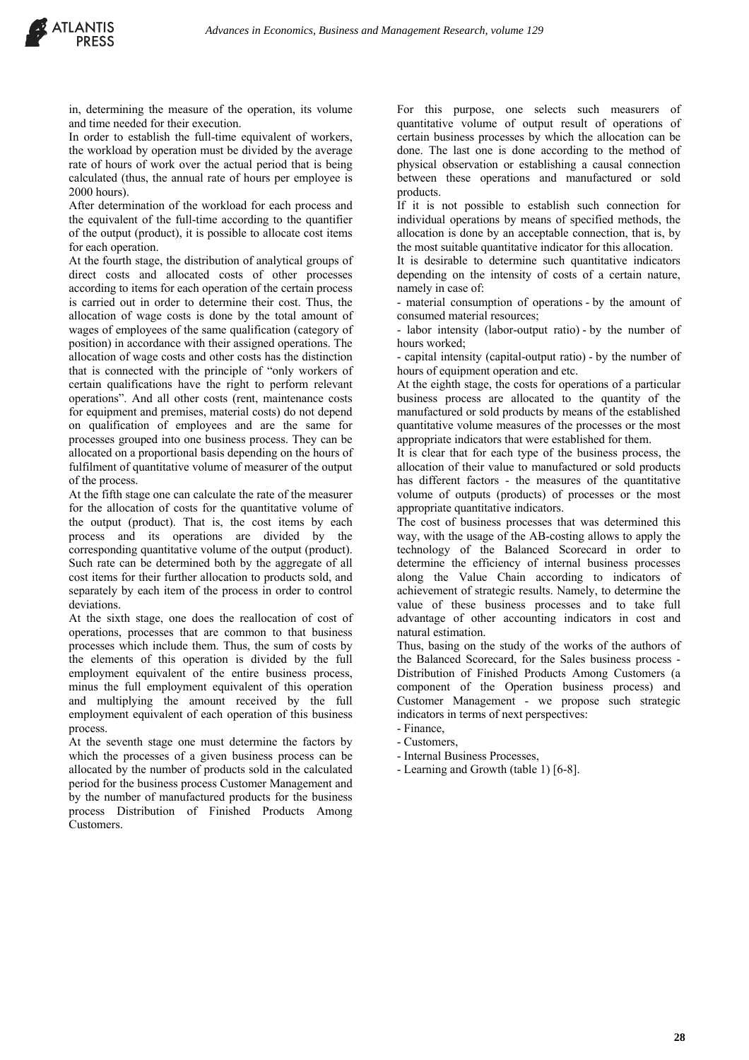in, determining the measure of the operation, its volume and time needed for their execution.

In order to establish the full-time equivalent of workers, the workload by operation must be divided by the average rate of hours of work over the actual period that is being calculated (thus, the annual rate of hours per employee is 2000 hours).

After determination of the workload for each process and the equivalent of the full-time according to the quantifier of the output (product), it is possible to allocate cost items for each operation.

At the fourth stage, the distribution of analytical groups of direct costs and allocated costs of other processes according to items for each operation of the certain process is carried out in order to determine their cost. Thus, the allocation of wage costs is done by the total amount of wages of employees of the same qualification (category of position) in accordance with their assigned operations. The allocation of wage costs and other costs has the distinction that is connected with the principle of "only workers of certain qualifications have the right to perform relevant operations". And all other costs (rent, maintenance costs for equipment and premises, material costs) do not depend on qualification of employees and are the same for processes grouped into one business process. They can be allocated on a proportional basis depending on the hours of fulfilment of quantitative volume of measurer of the output of the process.

At the fifth stage one can calculate the rate of the measurer for the allocation of costs for the quantitative volume of the output (product). That is, the cost items by each process and its operations are divided by the corresponding quantitative volume of the output (product). Such rate can be determined both by the aggregate of all cost items for their further allocation to products sold, and separately by each item of the process in order to control deviations.

At the sixth stage, one does the reallocation of cost of operations, processes that are common to that business processes which include them. Thus, the sum of costs by the elements of this operation is divided by the full employment equivalent of the entire business process, minus the full employment equivalent of this operation and multiplying the amount received by the full employment equivalent of each operation of this business process.

At the seventh stage one must determine the factors by which the processes of a given business process can be allocated by the number of products sold in the calculated period for the business process Customer Management and by the number of manufactured products for the business process Distribution of Finished Products Among Customers.

For this purpose, one selects such measurers of quantitative volume of output result of operations of certain business processes by which the allocation can be done. The last one is done according to the method of physical observation or establishing a causal connection between these operations and manufactured or sold products.

If it is not possible to establish such connection for individual operations by means of specified methods, the allocation is done by an acceptable connection, that is, by the most suitable quantitative indicator for this allocation.

It is desirable to determine such quantitative indicators depending on the intensity of costs of a certain nature, namely in case of:

- material consumption of operations - by the amount of consumed material resources;

- labor intensity (labor-output ratio) - by the number of hours worked;

- capital intensity (capital-output ratio) - by the number of hours of equipment operation and etc.

At the eighth stage, the costs for operations of a particular business process are allocated to the quantity of the manufactured or sold products by means of the established quantitative volume measures of the processes or the most appropriate indicators that were established for them.

It is clear that for each type of the business process, the allocation of their value to manufactured or sold products has different factors - the measures of the quantitative volume of outputs (products) of processes or the most appropriate quantitative indicators.

The cost of business processes that was determined this way, with the usage of the AB-costing allows to apply the technology of the Balanced Scorecard in order to determine the efficiency of internal business processes along the Value Chain according to indicators of achievement of strategic results. Namely, to determine the value of these business processes and to take full advantage of other accounting indicators in cost and natural estimation.

Thus, basing on the study of the works of the authors of the Balanced Scorecard, for the Sales business process - Distribution of Finished Products Among Customers (a component of the Operation business process) and Customer Management - we propose such strategic indicators in terms of next perspectives:

- Customers,
- Internal Business Processes,
- Learning and Growth (table 1) [6-8].

<sup>-</sup> Finance,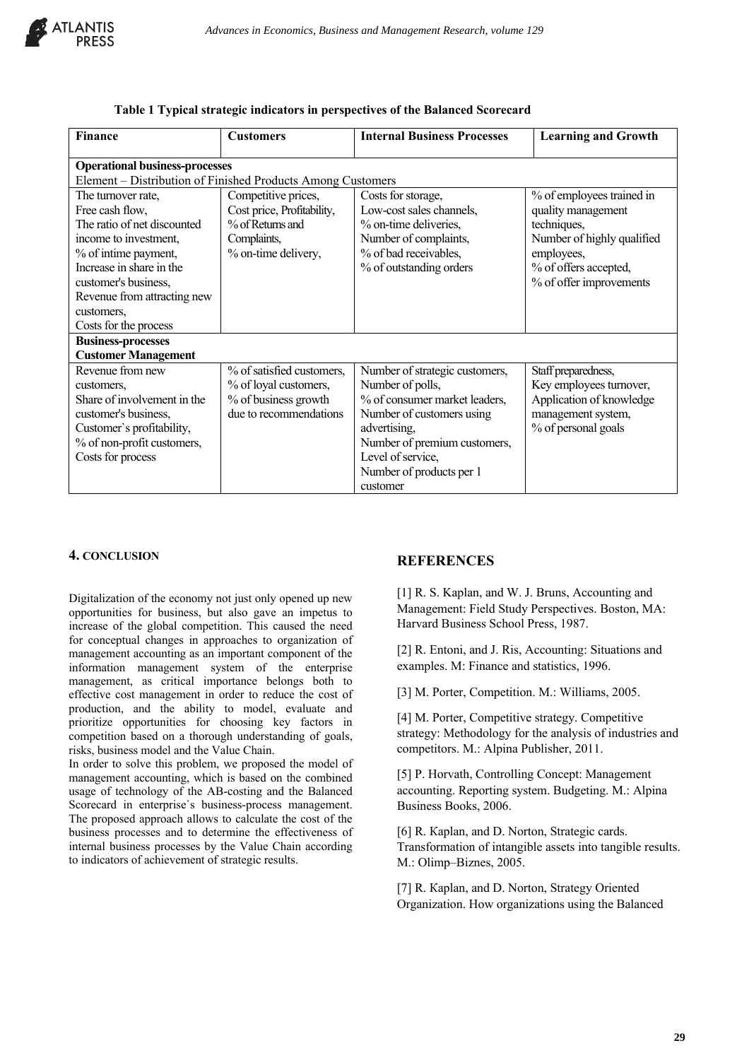

| Finance                                                                                                                                                                                                                                         | <b>Customers</b>                                                                                            | <b>Internal Business Processes</b>                                                                                                                                                                                            | <b>Learning and Growth</b>                                                                                                                                     |
|-------------------------------------------------------------------------------------------------------------------------------------------------------------------------------------------------------------------------------------------------|-------------------------------------------------------------------------------------------------------------|-------------------------------------------------------------------------------------------------------------------------------------------------------------------------------------------------------------------------------|----------------------------------------------------------------------------------------------------------------------------------------------------------------|
| <b>Operational business-processes</b>                                                                                                                                                                                                           |                                                                                                             |                                                                                                                                                                                                                               |                                                                                                                                                                |
| Element – Distribution of Finished Products Among Customers                                                                                                                                                                                     |                                                                                                             |                                                                                                                                                                                                                               |                                                                                                                                                                |
| The turnover rate,<br>Free cash flow,<br>The ratio of net discounted<br>income to investment,<br>% of intime payment,<br>Increase in share in the<br>customer's business,<br>Revenue from attracting new<br>customers,<br>Costs for the process | Competitive prices,<br>Cost price, Profitability,<br>% of Returns and<br>Complaints,<br>% on-time delivery, | Costs for storage,<br>Low-cost sales channels,<br>% on-time deliveries,<br>Number of complaints,<br>% of bad receivables,<br>% of outstanding orders                                                                          | % of employees trained in<br>quality management<br>techniques,<br>Number of highly qualified<br>employees,<br>% of offers accepted,<br>% of offer improvements |
| <b>Business-processes</b><br><b>Customer Management</b>                                                                                                                                                                                         |                                                                                                             |                                                                                                                                                                                                                               |                                                                                                                                                                |
| Revenue from new<br>customers,<br>Share of involvement in the<br>customer's business,<br>Customer's profitability,<br>% of non-profit customers,<br>Costs for process                                                                           | % of satisfied customers,<br>% of loyal customers,<br>% of business growth<br>due to recommendations        | Number of strategic customers,<br>Number of polls,<br>% of consumer market leaders,<br>Number of customers using<br>advertising,<br>Number of premium customers,<br>Level of service,<br>Number of products per 1<br>customer | Staff preparedness,<br>Key employees turnover,<br>Application of knowledge<br>management system,<br>% of personal goals                                        |

#### **Table 1 Typical strategic indicators in perspectives of the Balanced Scorecard**

#### **4. CONCLUSION**

Digitalization of the economy not just only opened up new opportunities for business, but also gave an impetus to increase of the global competition. This caused the need for conceptual changes in approaches to organization of management accounting as an important component of the information management system of the enterprise management, as critical importance belongs both to effective cost management in order to reduce the cost of production, and the ability to model, evaluate and prioritize opportunities for choosing key factors in competition based on a thorough understanding of goals, risks, business model and the Value Chain.

In order to solve this problem, we proposed the model of management accounting, which is based on the combined usage of technology of the AB-costing and the Balanced Scorecard in enterprise`s business-process management. The proposed approach allows to calculate the cost of the business processes and to determine the effectiveness of internal business processes by the Value Chain according to indicators of achievement of strategic results.

#### **REFERENCES**

[1] R. S. Kaplan, and W. J. Bruns, Accounting and Management: Field Study Perspectives. Boston, MA: Harvard Business School Press, 1987.

[2] R. Entoni, and J. Ris, Accounting: Situations and examples. М: Finance and statistics, 1996.

[3] М. Porter, Competition. М.: Williams, 2005.

[4] М. Porter, Competitive strategy. Competitive strategy: Methodology for the analysis of industries and competitors. М.: Alpina Publisher, 2011.

[5] P. Horvath, Controlling Concept: Management accounting. Reporting system. Budgeting. М.: Alpina Business Books, 2006.

[6] R. Kaplan, and D. Norton, Strategic cards. Transformation of intangible assets into tangible results. М.: Olimp–Biznes, 2005.

[7] R. Kaplan, and D. Norton, Strategy Oriented Organization. How organizations using the Balanced